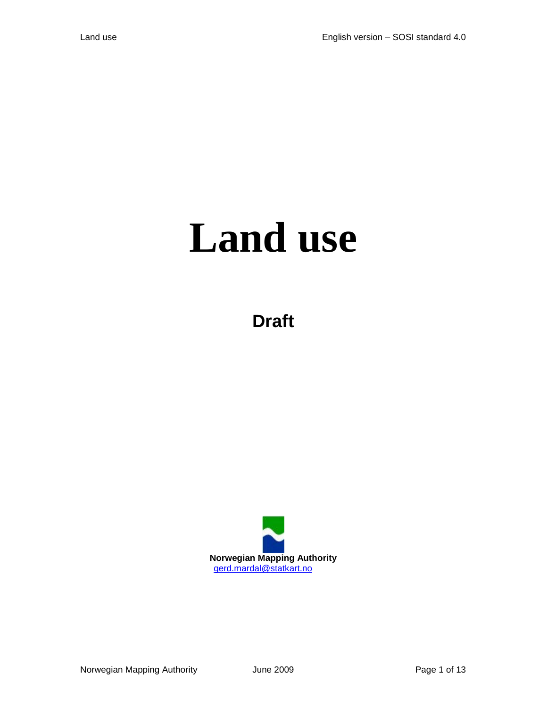# **Land use**

**Draft**

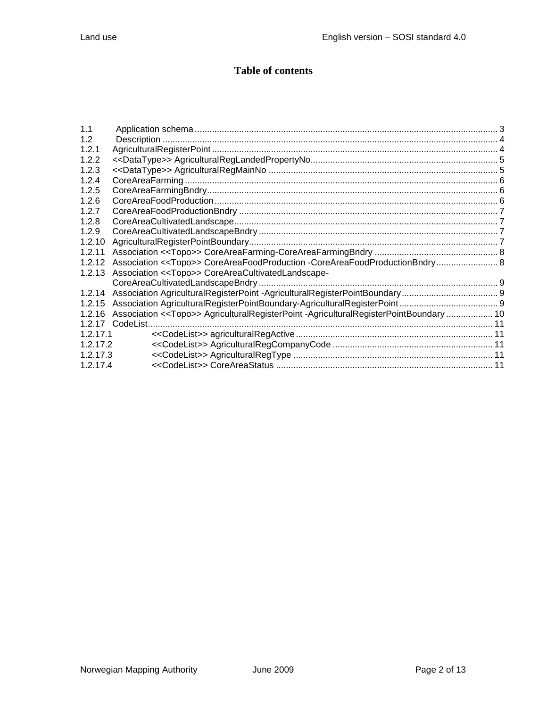## **Table of contents**

| 1.1      |                                                                                                  |  |
|----------|--------------------------------------------------------------------------------------------------|--|
| 1.2      |                                                                                                  |  |
| 1.2.1    |                                                                                                  |  |
| 1.2.2    |                                                                                                  |  |
| 1.2.3    |                                                                                                  |  |
| 1.2.4    |                                                                                                  |  |
| 1.2.5    |                                                                                                  |  |
| 1.2.6    |                                                                                                  |  |
| 1.2.7    |                                                                                                  |  |
| 1.2.8    |                                                                                                  |  |
| 1.2.9    |                                                                                                  |  |
| 1.2.10   |                                                                                                  |  |
| 1.2.11   |                                                                                                  |  |
| 1.2.12   | Association < <topo>&gt; CoreAreaFoodProduction -CoreAreaFoodProductionBndry 8</topo>            |  |
| 1.2.13   | Association << Topo>> CoreAreaCultivatedLandscape-                                               |  |
|          |                                                                                                  |  |
| 1.2.14   |                                                                                                  |  |
| 1.2.15   |                                                                                                  |  |
| 1.2.16   | Association < <topo>&gt; AgriculturalRegisterPoint -AgriculturalRegisterPointBoundary  10</topo> |  |
| 1.2.17   | CodeList.                                                                                        |  |
| 1.2.17.1 |                                                                                                  |  |
| 1.2.17.2 |                                                                                                  |  |
| 1.2.17.3 |                                                                                                  |  |
| 1.2.17.4 |                                                                                                  |  |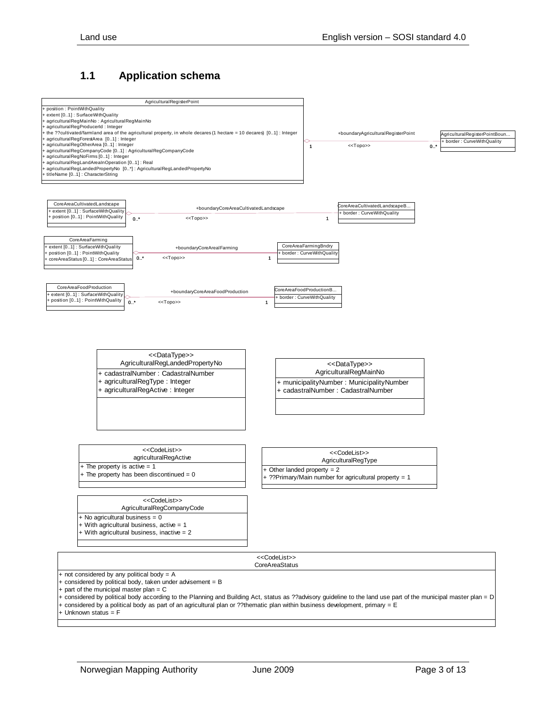#### <span id="page-2-0"></span>**1.1 Application schema**

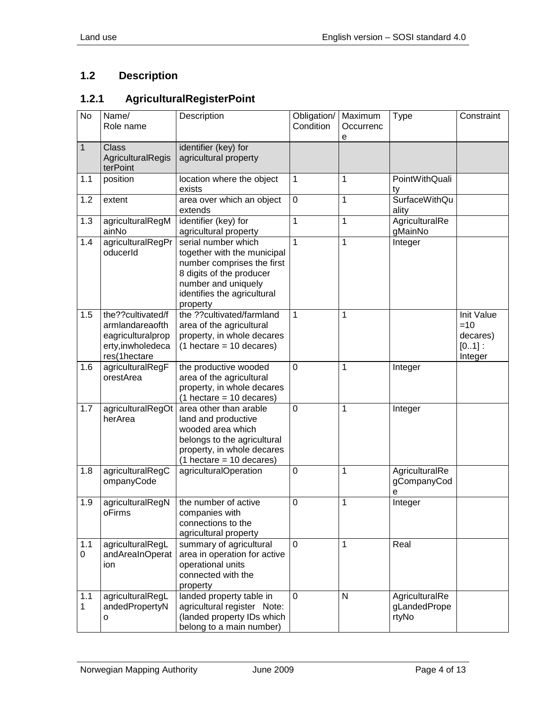# <span id="page-3-0"></span>**1.2 Description**

# <span id="page-3-1"></span>**1.2.1 AgriculturalRegisterPoint**

| <b>No</b>          | Name/<br>Role name                                                                             | Description                                                                                                                                                                    | Obligation/<br>Condition | Maximum<br>Occurrenc<br>е | Type                                    | Constraint                                             |
|--------------------|------------------------------------------------------------------------------------------------|--------------------------------------------------------------------------------------------------------------------------------------------------------------------------------|--------------------------|---------------------------|-----------------------------------------|--------------------------------------------------------|
| $\mathbf{1}$       | <b>Class</b><br>AgriculturalRegis<br>terPoint                                                  | identifier (key) for<br>agricultural property                                                                                                                                  |                          |                           |                                         |                                                        |
| 1.1                | position                                                                                       | location where the object<br>exists                                                                                                                                            | 1                        | 1                         | PointWithQuali<br>ty                    |                                                        |
| 1.2                | extent                                                                                         | area over which an object<br>extends                                                                                                                                           | $\mathbf 0$              | 1                         | <b>SurfaceWithQu</b><br>ality           |                                                        |
| 1.3                | agriculturalRegM<br>ainNo                                                                      | identifier (key) for<br>agricultural property                                                                                                                                  | 1                        | 1                         | AgriculturalRe<br>gMainNo               |                                                        |
| 1.4                | agriculturalRegPr<br>oducerId                                                                  | serial number which<br>together with the municipal<br>number comprises the first<br>8 digits of the producer<br>number and uniquely<br>identifies the agricultural<br>property | 1                        | 1                         | Integer                                 |                                                        |
| 1.5                | the??cultivated/f<br>armlandareaofth<br>eagriculturalprop<br>erty, inwholedeca<br>res(1hectare | the ??cultivated/farmland<br>area of the agricultural<br>property, in whole decares<br>$(1 \text{ hectare} = 10 \text{ decares})$                                              | 1                        | 1                         |                                         | Init Value<br>$=10$<br>decares)<br>$[01]$ :<br>Integer |
| 1.6                | agriculturalRegF<br>orestArea                                                                  | the productive wooded<br>area of the agricultural<br>property, in whole decares<br>$(1 \text{ hectare} = 10 \text{ decares})$                                                  | 0                        | 1                         | Integer                                 |                                                        |
| 1.7                | agriculturalRegOt<br>herArea                                                                   | area other than arable<br>land and productive<br>wooded area which<br>belongs to the agricultural<br>property, in whole decares<br>$(1 \text{ hectare} = 10 \text{ decares})$  | $\mathbf 0$              | 1                         | Integer                                 |                                                        |
| 1.8                | agriculturalRegC<br>ompanyCode                                                                 | agriculturalOperation                                                                                                                                                          | $\mathbf 0$              | 1                         | AgriculturalRe<br>gCompanyCod<br>е      |                                                        |
| 1.9                | agriculturalRegN<br>oFirms                                                                     | the number of active<br>companies with<br>connections to the<br>agricultural property                                                                                          | 0                        | 1                         | Integer                                 |                                                        |
| 1.1<br>$\mathbf 0$ | agriculturalRegL<br>andAreaInOperat<br>ion                                                     | summary of agricultural<br>area in operation for active<br>operational units<br>connected with the<br>property                                                                 | $\Omega$                 | 1                         | Real                                    |                                                        |
| 1.1<br>1           | agriculturalRegL<br>andedPropertyN<br>о                                                        | landed property table in<br>agricultural register Note:<br>(landed property IDs which<br>belong to a main number)                                                              | 0                        | $\mathsf{N}$              | AgriculturalRe<br>gLandedPrope<br>rtyNo |                                                        |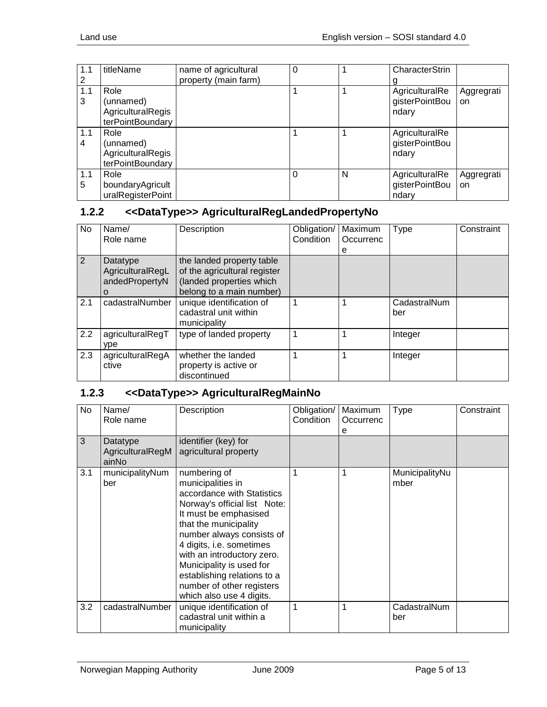| 1.1      | titleName                                                  | name of agricultural | $\Omega$ |              | CharacterStrin                            |                  |
|----------|------------------------------------------------------------|----------------------|----------|--------------|-------------------------------------------|------------------|
|          |                                                            | property (main farm) |          |              |                                           |                  |
| 1.1      | Role                                                       |                      |          |              | AgriculturalRe                            | Aggregrati       |
| 3        | (unnamed)                                                  |                      |          |              | gisterPointBou                            | on               |
|          | AgriculturalRegis                                          |                      |          |              | ndary                                     |                  |
|          | terPointBoundary                                           |                      |          |              |                                           |                  |
| 1.1<br>4 | Role<br>(unnamed)<br>AgriculturalRegis<br>terPointBoundary |                      |          |              | AgriculturalRe<br>gisterPointBou<br>ndary |                  |
| 1.1<br>5 | Role<br>boundaryAgricult<br>uralRegisterPoint              |                      |          | $\mathsf{N}$ | AgriculturalRe<br>gisterPointBou<br>ndary | Aggregrati<br>on |

#### <span id="page-4-0"></span>**1.2.2 <<DataType>> AgriculturalRegLandedPropertyNo**

| No  | Name/<br>Role name                                  | Description                                                                                                       | Obligation/<br>Condition | Maximum<br>Occurrenc<br>е | <b>Type</b>         | Constraint |
|-----|-----------------------------------------------------|-------------------------------------------------------------------------------------------------------------------|--------------------------|---------------------------|---------------------|------------|
| 2   | Datatype<br>AgriculturalRegL<br>andedPropertyN<br>o | the landed property table<br>of the agricultural register<br>(landed properties which<br>belong to a main number) |                          |                           |                     |            |
| 2.1 | cadastralNumber                                     | unique identification of<br>cadastral unit within<br>municipality                                                 |                          |                           | CadastralNum<br>ber |            |
| 2.2 | agriculturalRegT<br>ype                             | type of landed property                                                                                           |                          |                           | Integer             |            |
| 2.3 | agriculturalRegA<br>ctive                           | whether the landed<br>property is active or<br>discontinued                                                       |                          |                           | Integer             |            |

#### <span id="page-4-1"></span>**1.2.3 <<DataType>> AgriculturalRegMainNo**

| No  | Name/<br>Role name                    | Description                                                                                                                                                                                                                                                                                                                                                  | Obligation/<br>Condition | Maximum<br>Occurrenc<br>е | <b>Type</b>            | Constraint |
|-----|---------------------------------------|--------------------------------------------------------------------------------------------------------------------------------------------------------------------------------------------------------------------------------------------------------------------------------------------------------------------------------------------------------------|--------------------------|---------------------------|------------------------|------------|
| 3   | Datatype<br>AgriculturalRegM<br>ainNo | identifier (key) for<br>agricultural property                                                                                                                                                                                                                                                                                                                |                          |                           |                        |            |
| 3.1 | municipalityNum<br>ber                | numbering of<br>municipalities in<br>accordance with Statistics<br>Norway's official list Note:<br>It must be emphasised<br>that the municipality<br>number always consists of<br>4 digits, i.e. sometimes<br>with an introductory zero.<br>Municipality is used for<br>establishing relations to a<br>number of other registers<br>which also use 4 digits. |                          |                           | MunicipalityNu<br>mber |            |
| 3.2 | cadastralNumber                       | unique identification of<br>cadastral unit within a<br>municipality                                                                                                                                                                                                                                                                                          | 1                        |                           | CadastralNum<br>ber    |            |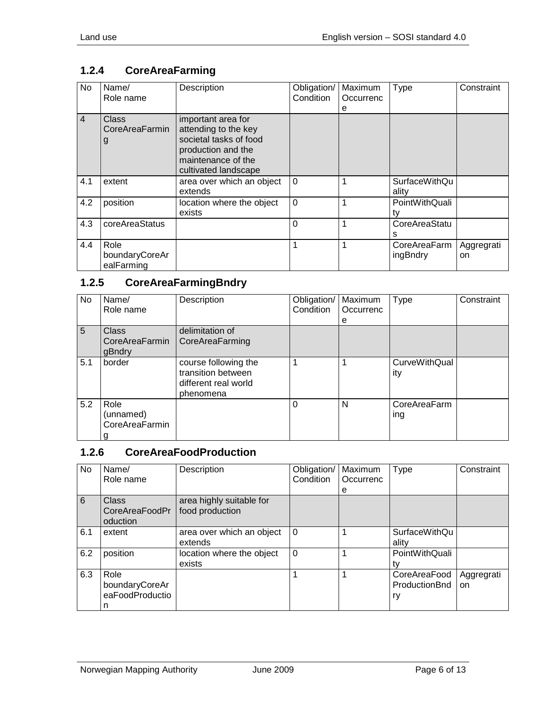# <span id="page-5-0"></span>**1.2.4 CoreAreaFarming**

| No             | Name/<br>Role name                   | Description                                                                                                                              | Obligation/<br>Condition | Maximum<br>Occurrenc<br>е | <b>Type</b>                   | Constraint       |
|----------------|--------------------------------------|------------------------------------------------------------------------------------------------------------------------------------------|--------------------------|---------------------------|-------------------------------|------------------|
| $\overline{4}$ | Class<br>CoreAreaFarmin<br>g         | important area for<br>attending to the key<br>societal tasks of food<br>production and the<br>maintenance of the<br>cultivated landscape |                          |                           |                               |                  |
| 4.1            | extent                               | area over which an object<br>extends                                                                                                     | $\Omega$                 |                           | <b>SurfaceWithQu</b><br>ality |                  |
| 4.2            | position                             | location where the object<br>exists                                                                                                      | $\mathbf 0$              |                           | PointWithQuali<br>tv          |                  |
| 4.3            | coreAreaStatus                       |                                                                                                                                          | 0                        |                           | CoreAreaStatu<br>s            |                  |
| 4.4            | Role<br>boundaryCoreAr<br>ealFarming |                                                                                                                                          | 1                        |                           | CoreAreaFarm<br>ingBndry      | Aggregrati<br>on |

# <span id="page-5-1"></span>**1.2.5 CoreAreaFarmingBndry**

| No  | Name/<br>Role name                       | Description                                                                     | Obligation/<br>Condition | Maximum<br>Occurrenc<br>е | <b>Type</b>                 | Constraint |
|-----|------------------------------------------|---------------------------------------------------------------------------------|--------------------------|---------------------------|-----------------------------|------------|
| 5   | <b>Class</b><br>CoreAreaFarmin<br>gBndry | delimitation of<br>CoreAreaFarming                                              |                          |                           |                             |            |
| 5.1 | border                                   | course following the<br>transition between<br>different real world<br>phenomena |                          |                           | <b>CurveWithQual</b><br>ity |            |
| 5.2 | Role<br>(unnamed)<br>CoreAreaFarmin<br>g |                                                                                 | 0                        | N                         | CoreAreaFarm<br>ing         |            |

#### <span id="page-5-2"></span>**1.2.6 CoreAreaFoodProduction**

| No  | Name/           | Description               | Obligation/ | Maximum   | Type                 | Constraint |
|-----|-----------------|---------------------------|-------------|-----------|----------------------|------------|
|     | Role name       |                           | Condition   | Occurrenc |                      |            |
|     |                 |                           |             | e         |                      |            |
| 6   | Class           | area highly suitable for  |             |           |                      |            |
|     | CoreAreaFoodPr  | food production           |             |           |                      |            |
|     | oduction        |                           |             |           |                      |            |
| 6.1 | extent          | area over which an object | $\Omega$    |           | <b>SurfaceWithQu</b> |            |
|     |                 | extends                   |             |           | ality                |            |
| 6.2 | position        | location where the object | $\Omega$    |           | PointWithQuali       |            |
|     |                 | exists                    |             |           |                      |            |
| 6.3 | Role            |                           |             |           | CoreAreaFood         | Aggregrati |
|     | boundaryCoreAr  |                           |             |           | ProductionBnd        | on         |
|     | eaFoodProductio |                           |             |           | ry                   |            |
|     | n               |                           |             |           |                      |            |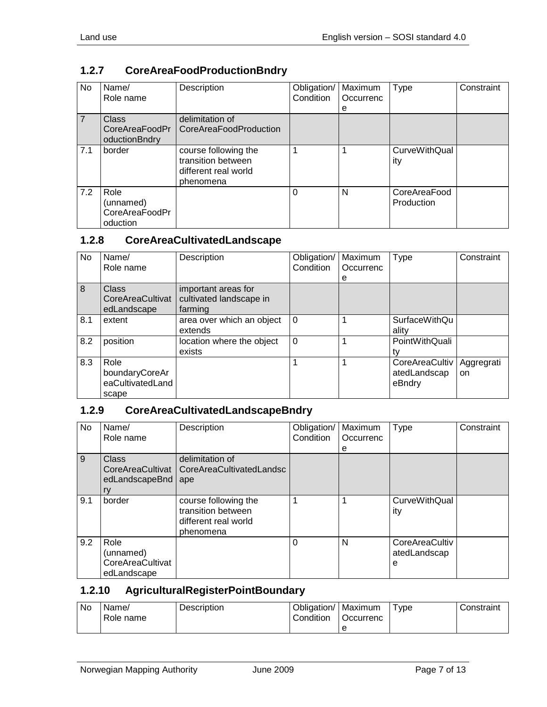## <span id="page-6-0"></span>**1.2.7 CoreAreaFoodProductionBndry**

| No.            | Name/<br>Role name                              | Description                                                                     | Obligation/<br>Condition | Maximum<br>Occurrenc<br>е | <b>Type</b>                 | Constraint |
|----------------|-------------------------------------------------|---------------------------------------------------------------------------------|--------------------------|---------------------------|-----------------------------|------------|
| $\overline{7}$ | Class<br>CoreAreaFoodPr<br>oductionBndry        | delimitation of<br>CoreAreaFoodProduction                                       |                          |                           |                             |            |
| 7.1            | border                                          | course following the<br>transition between<br>different real world<br>phenomena |                          |                           | <b>CurveWithQual</b><br>ity |            |
| 7.2            | Role<br>(unnamed)<br>CoreAreaFoodPr<br>oduction |                                                                                 | 0                        | N                         | CoreAreaFood<br>Production  |            |

#### <span id="page-6-1"></span>**1.2.8 CoreAreaCultivatedLandscape**

| No  | Name/<br>Role name                                  | Description                                               | Obligation/<br>Condition | Maximum<br>Occurrenc<br>е | Type                                     | Constraint       |
|-----|-----------------------------------------------------|-----------------------------------------------------------|--------------------------|---------------------------|------------------------------------------|------------------|
| 8   | Class<br>CoreAreaCultivat<br>edLandscape            | important areas for<br>cultivated landscape in<br>farming |                          |                           |                                          |                  |
| 8.1 | extent                                              | area over which an object<br>extends                      | 0                        |                           | <b>SurfaceWithQu</b><br>ality            |                  |
| 8.2 | position                                            | location where the object<br>exists                       | $\Omega$                 |                           | PointWithQuali                           |                  |
| 8.3 | Role<br>boundaryCoreAr<br>eaCultivatedLand<br>scape |                                                           |                          |                           | CoreAreaCultiv<br>atedLandscap<br>eBndry | Aggregrati<br>on |

#### <span id="page-6-2"></span>**1.2.9 CoreAreaCultivatedLandscapeBndry**

| <b>No</b> | Name/<br>Role name                                   | Description                                                                     | Obligation/<br>Condition | Maximum<br>Occurrenc<br>е | <b>Type</b>                         | Constraint |
|-----------|------------------------------------------------------|---------------------------------------------------------------------------------|--------------------------|---------------------------|-------------------------------------|------------|
| 9         | Class<br>CoreAreaCultivat<br>edLandscapeBnd<br>ry    | delimitation of<br>CoreAreaCultivatedLandsc<br>ape                              |                          |                           |                                     |            |
| 9.1       | border                                               | course following the<br>transition between<br>different real world<br>phenomena |                          |                           | <b>CurveWithQual</b><br>ity         |            |
| 9.2       | Role<br>(unnamed)<br>CoreAreaCultivat<br>edLandscape |                                                                                 | $\Omega$                 | N                         | CoreAreaCultiv<br>atedLandscap<br>е |            |

#### <span id="page-6-3"></span>**1.2.10 AgriculturalRegisterPointBoundary**

| No | Name/<br>Role name | Description | Obligation/<br>Condition | <b>Maximum</b><br>Occurrenc | vpe | Constraint |
|----|--------------------|-------------|--------------------------|-----------------------------|-----|------------|
|    |                    |             |                          | е                           |     |            |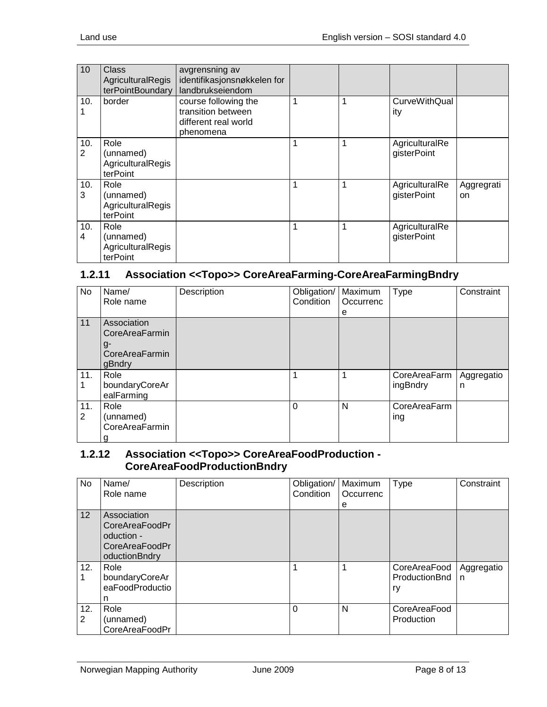| 10       | Class<br>AgriculturalRegis<br>terPointBoundary            | avgrensning av<br>identifikasjonsnøkkelen for<br>landbrukseiendom               |              |   |                               |                  |
|----------|-----------------------------------------------------------|---------------------------------------------------------------------------------|--------------|---|-------------------------------|------------------|
| 10.      | border                                                    | course following the<br>transition between<br>different real world<br>phenomena | $\mathbf{1}$ | 1 | <b>CurveWithQual</b><br>ity   |                  |
| 10.<br>2 | Role<br>(unnamed)<br>AgriculturalRegis<br>terPoint        |                                                                                 | 1            | 1 | AgriculturalRe<br>gisterPoint |                  |
| 10.<br>3 | Role<br>(unnamed)<br><b>AgriculturalRegis</b><br>terPoint |                                                                                 | 1            | 1 | AgriculturalRe<br>gisterPoint | Aggregrati<br>on |
| 10.<br>4 | Role<br>(unnamed)<br>AgriculturalRegis<br>terPoint        |                                                                                 | 1            | 1 | AgriculturalRe<br>gisterPoint |                  |

#### <span id="page-7-0"></span>**1.2.11 Association <<Topo>> CoreAreaFarming-CoreAreaFarmingBndry**

| No                    | Name/<br>Role name                                              | Description | Obligation/<br>Condition | Maximum<br>Occurrenc<br>е | <b>Type</b>              | Constraint      |
|-----------------------|-----------------------------------------------------------------|-------------|--------------------------|---------------------------|--------------------------|-----------------|
| 11                    | Association<br>CoreAreaFarmin<br>g-<br>CoreAreaFarmin<br>gBndry |             |                          |                           |                          |                 |
| 11.                   | Role<br>boundaryCoreAr<br>ealFarming                            |             |                          |                           | CoreAreaFarm<br>ingBndry | Aggregatio<br>n |
| 11.<br>$\overline{2}$ | Role<br>(unnamed)<br>CoreAreaFarmin<br>g                        |             | $\Omega$                 | N                         | CoreAreaFarm<br>ing      |                 |

#### <span id="page-7-1"></span>**1.2.12 Association <<Topo>> CoreAreaFoodProduction - CoreAreaFoodProductionBndry**

| <b>No</b>             | Name/<br>Role name                                                             | Description | Obligation/<br>Condition | Maximum<br>Occurrenc<br>е | <b>Type</b>                         | Constraint      |
|-----------------------|--------------------------------------------------------------------------------|-------------|--------------------------|---------------------------|-------------------------------------|-----------------|
| 12                    | Association<br>CoreAreaFoodPr<br>oduction -<br>CoreAreaFoodPr<br>oductionBndry |             |                          |                           |                                     |                 |
| 12.                   | Role<br>boundaryCoreAr<br>eaFoodProductio<br>n                                 |             |                          |                           | CoreAreaFood<br>ProductionBnd<br>ry | Aggregatio<br>n |
| 12.<br>$\overline{2}$ | Role<br>(unnamed)<br>CoreAreaFoodPr                                            |             | $\Omega$                 | N                         | CoreAreaFood<br>Production          |                 |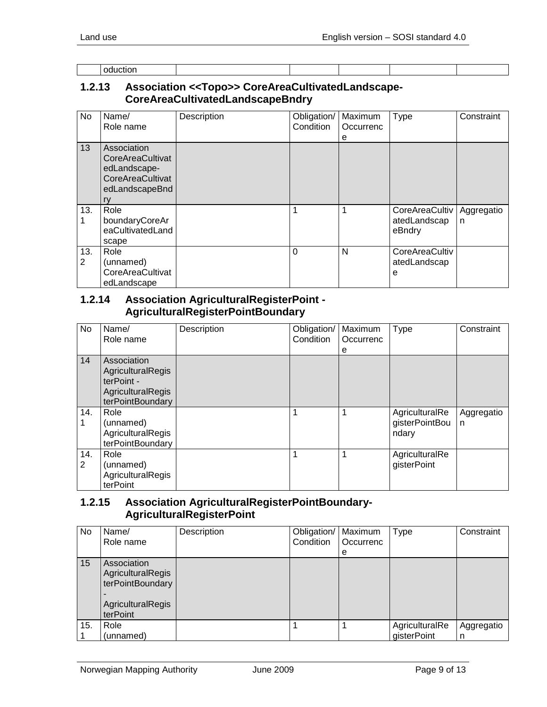| l oduction |
|------------|
|            |

#### <span id="page-8-0"></span>**1.2.13 Association <<Topo>> CoreAreaCultivatedLandscape-CoreAreaCultivatedLandscapeBndry**

| <b>No</b> | Name/<br>Role name                                                                          | Description | Obligation/<br>Condition | Maximum<br>Occurrenc<br>е | <b>Type</b>                              | Constraint      |
|-----------|---------------------------------------------------------------------------------------------|-------------|--------------------------|---------------------------|------------------------------------------|-----------------|
| 13        | Association<br>CoreAreaCultivat<br>edLandscape-<br>CoreAreaCultivat<br>edLandscapeBnd<br>ry |             |                          |                           |                                          |                 |
| 13.       | Role<br>boundaryCoreAr<br>eaCultivatedLand<br>scape                                         |             |                          |                           | CoreAreaCultiv<br>atedLandscap<br>eBndry | Aggregatio<br>n |
| 13.<br>2  | Role<br>(unnamed)<br>CoreAreaCultivat<br>edLandscape                                        |             | $\Omega$                 | N                         | CoreAreaCultiv<br>atedLandscap<br>е      |                 |

#### <span id="page-8-1"></span>**1.2.14 Association AgriculturalRegisterPoint - AgriculturalRegisterPointBoundary**

| No       | Name/<br>Role name                                                                             | Description | Obligation/<br>Condition | Maximum<br>Occurrenc<br>е | Type                                      | Constraint      |
|----------|------------------------------------------------------------------------------------------------|-------------|--------------------------|---------------------------|-------------------------------------------|-----------------|
| 14       | Association<br>AgriculturalRegis<br>terPoint -<br><b>AgriculturalRegis</b><br>terPointBoundary |             |                          |                           |                                           |                 |
| 14.      | Role<br>(unnamed)<br>AgriculturalRegis<br>terPointBoundary                                     |             |                          |                           | AgriculturalRe<br>gisterPointBou<br>ndary | Aggregatio<br>n |
| 14.<br>2 | Role<br>(unnamed)<br>AgriculturalRegis<br>terPoint                                             |             |                          |                           | AgriculturalRe<br>gisterPoint             |                 |

#### <span id="page-8-2"></span>**1.2.15 Association AgriculturalRegisterPointBoundary-AgriculturalRegisterPoint**

| No  | Name/<br>Role name                                                                    | Description | Obligation/   Maximum<br>Condition | <b>Occurrenc</b><br>e | <b>Type</b>                   | Constraint      |
|-----|---------------------------------------------------------------------------------------|-------------|------------------------------------|-----------------------|-------------------------------|-----------------|
| 15  | Association<br>AgriculturalRegis<br>terPointBoundary<br>AgriculturalRegis<br>terPoint |             |                                    |                       |                               |                 |
| 15. | Role<br>(unnamed)                                                                     |             |                                    |                       | AgriculturalRe<br>gisterPoint | Aggregatio<br>n |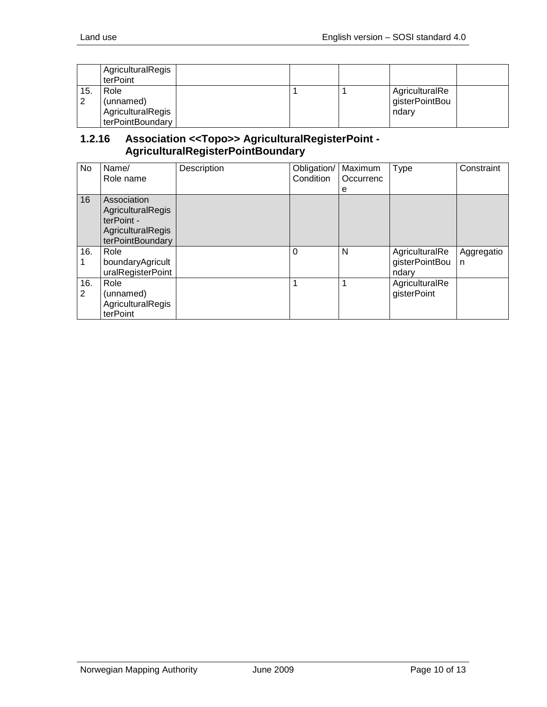|     | AgriculturalRegis<br>terPoint                              |  |                                           |  |
|-----|------------------------------------------------------------|--|-------------------------------------------|--|
| 15. | Role<br>(unnamed)<br>AgriculturalRegis<br>terPointBoundary |  | AgriculturalRe<br>gisterPointBou<br>ndarv |  |

#### <span id="page-9-0"></span>**1.2.16 Association <<Topo>> AgriculturalRegisterPoint - AgriculturalRegisterPointBoundary**

| No.      | Name/<br>Role name                                                                      | Description | Obligation/<br>Condition | Maximum<br>Occurrenc<br>e | Type                                      | Constraint      |
|----------|-----------------------------------------------------------------------------------------|-------------|--------------------------|---------------------------|-------------------------------------------|-----------------|
| 16       | Association<br>AgriculturalRegis<br>terPoint -<br>AgriculturalRegis<br>terPointBoundary |             |                          |                           |                                           |                 |
| 16.      | Role<br>boundaryAgricult<br>uralRegisterPoint                                           |             | $\Omega$                 | N                         | AgriculturalRe<br>gisterPointBou<br>ndarv | Aggregatio<br>n |
| 16.<br>2 | Role<br>(unnamed)<br>AgriculturalRegis<br>terPoint                                      |             | 1                        | 1                         | AgriculturalRe<br>gisterPoint             |                 |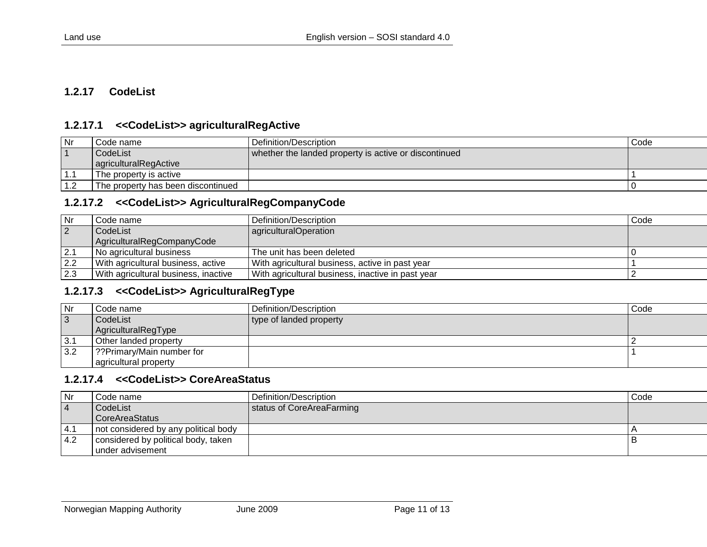#### **1.2.17 CodeList**

#### **1.2.17.1 <<CodeList>> agriculturalRegActive**

| Nr  | Code name                          | Definition/Description                                | Code |
|-----|------------------------------------|-------------------------------------------------------|------|
|     | CodeList                           | whether the landed property is active or discontinued |      |
|     | agriculturalRegActive              |                                                       |      |
|     | The property is active             |                                                       |      |
| 1.2 | The property has been discontinued |                                                       |      |

#### **1.2.17.2 <<CodeList>> AgriculturalRegCompanyCode**

<span id="page-10-0"></span>

| Nr  | l Code name i                        | Definition/Description                            | Code |
|-----|--------------------------------------|---------------------------------------------------|------|
| 2   | l CodeList                           | agriculturalOperation                             |      |
|     | AgriculturalRegCompanyCode           |                                                   |      |
| 2.1 | No agricultural business             | The unit has been deleted                         |      |
| 2.2 | With agricultural business, active   | With agricultural business, active in past year   |      |
| 2.3 | With agricultural business, inactive | With agricultural business, inactive in past year |      |

#### <span id="page-10-1"></span>**1.2.17.3 <<CodeList>> AgriculturalRegType**

| Nr             | Code name                  | Definition/Description  | Code |
|----------------|----------------------------|-------------------------|------|
| $\overline{3}$ | CodeList                   | type of landed property |      |
|                | AgriculturalRegType        |                         |      |
| 3.1            | Other landed property      |                         |      |
| 3.2            | ??Primary/Main number for? |                         |      |
|                | agricultural property      |                         |      |

#### <span id="page-10-2"></span>**1.2.17.4 <<CodeList>> CoreAreaStatus**

<span id="page-10-4"></span><span id="page-10-3"></span>

| Nr                | Code name                            | Definition/Description    | Code |
|-------------------|--------------------------------------|---------------------------|------|
| $\vert 4$         | CodeList                             | status of CoreAreaFarming |      |
|                   | <b>CoreAreaStatus</b>                |                           |      |
| $\overline{14}$ . | not considered by any political body |                           |      |
| 4.2               | considered by political body, taken  |                           |      |
|                   | under advisement                     |                           |      |